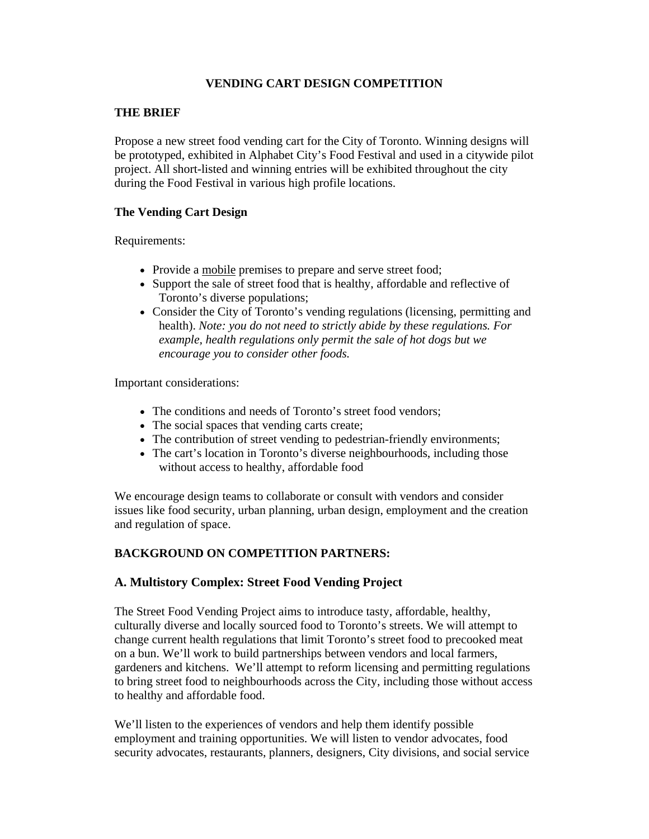## **VENDING CART DESIGN COMPETITION**

#### **THE BRIEF**

Propose a new street food vending cart for the City of Toronto. Winning designs will be prototyped, exhibited in Alphabet City's Food Festival and used in a citywide pilot project. All short-listed and winning entries will be exhibited throughout the city during the Food Festival in various high profile locations.

#### **The Vending Cart Design**

Requirements:

- Provide a mobile premises to prepare and serve street food;
- Support the sale of street food that is healthy, affordable and reflective of Toronto's diverse populations;
- Consider the City of Toronto's vending regulations (licensing, permitting and health). *Note: you do not need to strictly abide by these regulations. For example, health regulations only permit the sale of hot dogs but we encourage you to consider other foods.*

Important considerations:

- The conditions and needs of Toronto's street food vendors:
- The social spaces that vending carts create;
- The contribution of street vending to pedestrian-friendly environments;
- The cart's location in Toronto's diverse neighbourhoods, including those without access to healthy, affordable food

We encourage design teams to collaborate or consult with vendors and consider issues like food security, urban planning, urban design, employment and the creation and regulation of space.

## **BACKGROUND ON COMPETITION PARTNERS:**

## **A. Multistory Complex: Street Food Vending Project**

The Street Food Vending Project aims to introduce tasty, affordable, healthy, culturally diverse and locally sourced food to Toronto's streets. We will attempt to change current health regulations that limit Toronto's street food to precooked meat on a bun. We'll work to build partnerships between vendors and local farmers, gardeners and kitchens. We'll attempt to reform licensing and permitting regulations to bring street food to neighbourhoods across the City, including those without access to healthy and affordable food.

We'll listen to the experiences of vendors and help them identify possible employment and training opportunities. We will listen to vendor advocates, food security advocates, restaurants, planners, designers, City divisions, and social service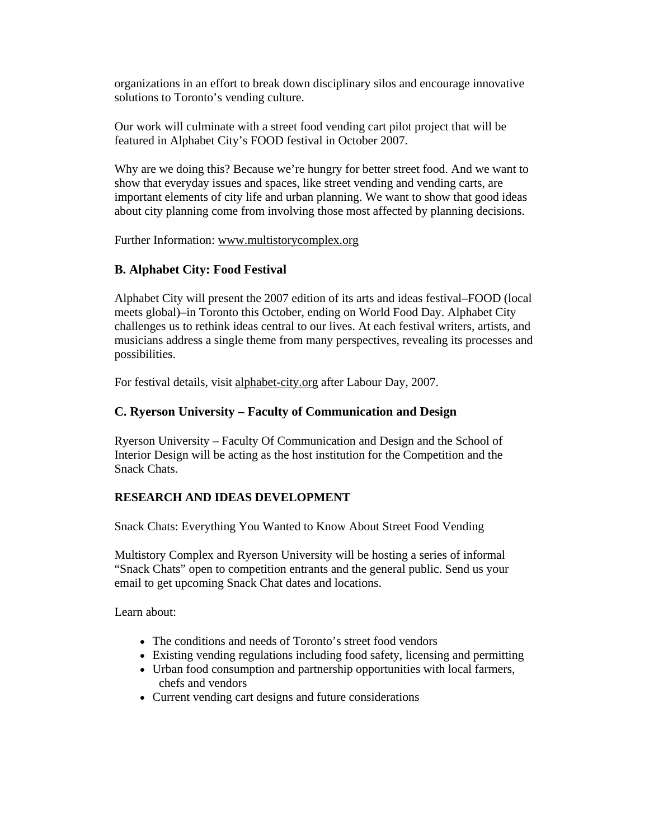organizations in an effort to break down disciplinary silos and encourage innovative solutions to Toronto's vending culture.

Our work will culminate with a street food vending cart pilot project that will be featured in Alphabet City's FOOD festival in October 2007.

Why are we doing this? Because we're hungry for better street food. And we want to show that everyday issues and spaces, like street vending and vending carts, are important elements of city life and urban planning. We want to show that good ideas about city planning come from involving those most affected by planning decisions.

Further Information: www.multistorycomplex.org

## **B. Alphabet City: Food Festival**

Alphabet City will present the 2007 edition of its arts and ideas festival–FOOD (local meets global)–in Toronto this October, ending on World Food Day. Alphabet City challenges us to rethink ideas central to our lives. At each festival writers, artists, and musicians address a single theme from many perspectives, revealing its processes and possibilities.

For festival details, visit alphabet-city.org after Labour Day, 2007.

# **C. Ryerson University – Faculty of Communication and Design**

Ryerson University – Faculty Of Communication and Design and the School of Interior Design will be acting as the host institution for the Competition and the Snack Chats.

## **RESEARCH AND IDEAS DEVELOPMENT**

Snack Chats: Everything You Wanted to Know About Street Food Vending

Multistory Complex and Ryerson University will be hosting a series of informal "Snack Chats" open to competition entrants and the general public. Send us your email to get upcoming Snack Chat dates and locations.

Learn about:

- The conditions and needs of Toronto's street food vendors
- Existing vending regulations including food safety, licensing and permitting
- Urban food consumption and partnership opportunities with local farmers, chefs and vendors
- Current vending cart designs and future considerations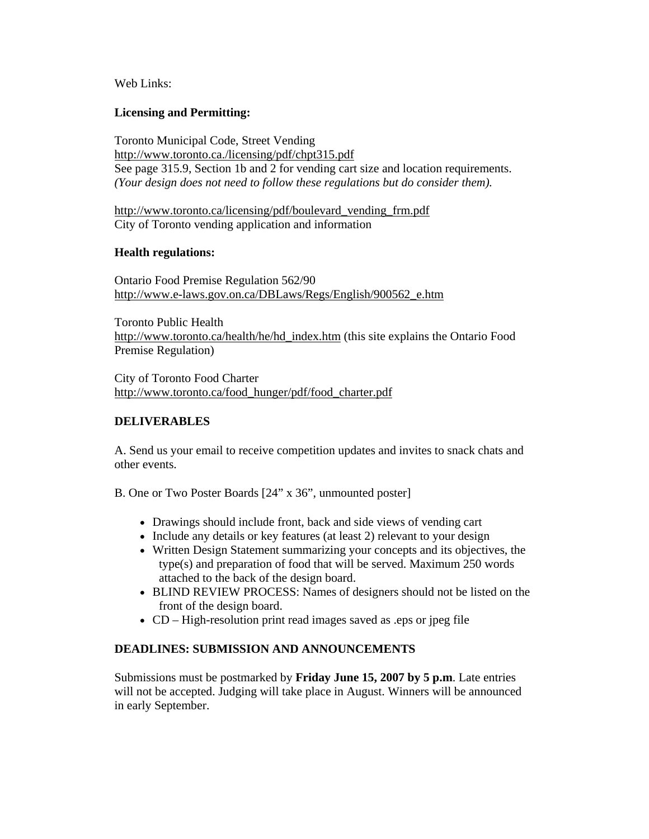Web Links:

## **Licensing and Permitting:**

Toronto Municipal Code, Street Vending http://www.toronto.ca./licensing/pdf/chpt315.pdf See page 315.9, Section 1b and 2 for vending cart size and location requirements. *(Your design does not need to follow these regulations but do consider them).* 

http://www.toronto.ca/licensing/pdf/boulevard\_vending\_frm.pdf City of Toronto vending application and information

## **Health regulations:**

Ontario Food Premise Regulation 562/90 http://www.e-laws.gov.on.ca/DBLaws/Regs/English/900562\_e.htm

Toronto Public Health http://www.toronto.ca/health/he/hd\_index.htm (this site explains the Ontario Food Premise Regulation)

City of Toronto Food Charter http://www.toronto.ca/food\_hunger/pdf/food\_charter.pdf

## **DELIVERABLES**

A. Send us your email to receive competition updates and invites to snack chats and other events.

B. One or Two Poster Boards [24" x 36", unmounted poster]

- Drawings should include front, back and side views of vending cart
- Include any details or key features (at least 2) relevant to your design
- Written Design Statement summarizing your concepts and its objectives, the type(s) and preparation of food that will be served. Maximum 250 words attached to the back of the design board.
- BLIND REVIEW PROCESS: Names of designers should not be listed on the front of the design board.
- CD High-resolution print read images saved as .eps or jpeg file

## **DEADLINES: SUBMISSION AND ANNOUNCEMENTS**

Submissions must be postmarked by **Friday June 15, 2007 by 5 p.m**. Late entries will not be accepted. Judging will take place in August. Winners will be announced in early September.